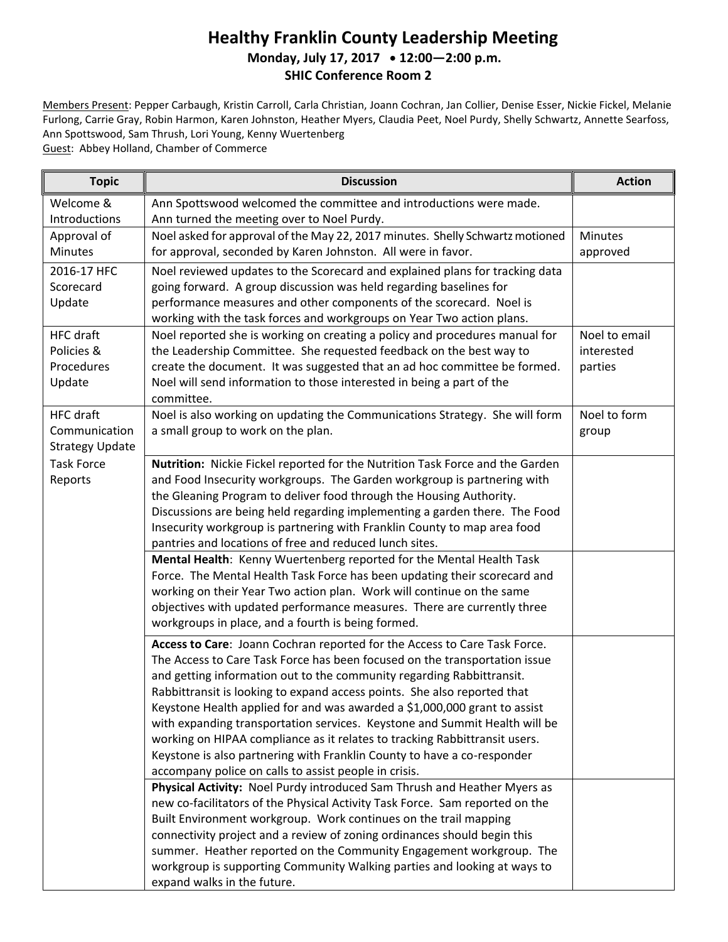## **Healthy Franklin County Leadership Meeting Monday, July 17, 2017 12:00—2:00 p.m. SHIC Conference Room 2**

Members Present: Pepper Carbaugh, Kristin Carroll, Carla Christian, Joann Cochran, Jan Collier, Denise Esser, Nickie Fickel, Melanie Furlong, Carrie Gray, Robin Harmon, Karen Johnston, Heather Myers, Claudia Peet, Noel Purdy, Shelly Schwartz, Annette Searfoss, Ann Spottswood, Sam Thrush, Lori Young, Kenny Wuertenberg Guest: Abbey Holland, Chamber of Commerce

**Topic Discussion Action** Welcome & Introductions Ann Spottswood welcomed the committee and introductions were made. Ann turned the meeting over to Noel Purdy. Approval of Minutes Noel asked for approval of the May 22, 2017 minutes. Shelly Schwartz motioned for approval, seconded by Karen Johnston. All were in favor. **Minutes** approved 2016-17 HFC **Scorecard** Update Noel reviewed updates to the Scorecard and explained plans for tracking data going forward. A group discussion was held regarding baselines for performance measures and other components of the scorecard. Noel is working with the task forces and workgroups on Year Two action plans. HFC draft Policies & Procedures Update Noel reported she is working on creating a policy and procedures manual for the Leadership Committee. She requested feedback on the best way to create the document. It was suggested that an ad hoc committee be formed. Noel will send information to those interested in being a part of the committee. Noel to email interested parties HFC draft Communication Strategy Update Noel is also working on updating the Communications Strategy. She will form a small group to work on the plan. Noel to form group Task Force Reports **Nutrition:** Nickie Fickel reported for the Nutrition Task Force and the Garden and Food Insecurity workgroups. The Garden workgroup is partnering with the Gleaning Program to deliver food through the Housing Authority. Discussions are being held regarding implementing a garden there. The Food Insecurity workgroup is partnering with Franklin County to map area food pantries and locations of free and reduced lunch sites. **Mental Health**: Kenny Wuertenberg reported for the Mental Health Task Force. The Mental Health Task Force has been updating their scorecard and working on their Year Two action plan. Work will continue on the same objectives with updated performance measures. There are currently three workgroups in place, and a fourth is being formed. **Access to Care**: Joann Cochran reported for the Access to Care Task Force. The Access to Care Task Force has been focused on the transportation issue and getting information out to the community regarding Rabbittransit. Rabbittransit is looking to expand access points. She also reported that Keystone Health applied for and was awarded a \$1,000,000 grant to assist with expanding transportation services. Keystone and Summit Health will be working on HIPAA compliance as it relates to tracking Rabbittransit users. Keystone is also partnering with Franklin County to have a co-responder accompany police on calls to assist people in crisis. **Physical Activity:** Noel Purdy introduced Sam Thrush and Heather Myers as new co-facilitators of the Physical Activity Task Force. Sam reported on the Built Environment workgroup. Work continues on the trail mapping connectivity project and a review of zoning ordinances should begin this summer. Heather reported on the Community Engagement workgroup. The workgroup is supporting Community Walking parties and looking at ways to expand walks in the future.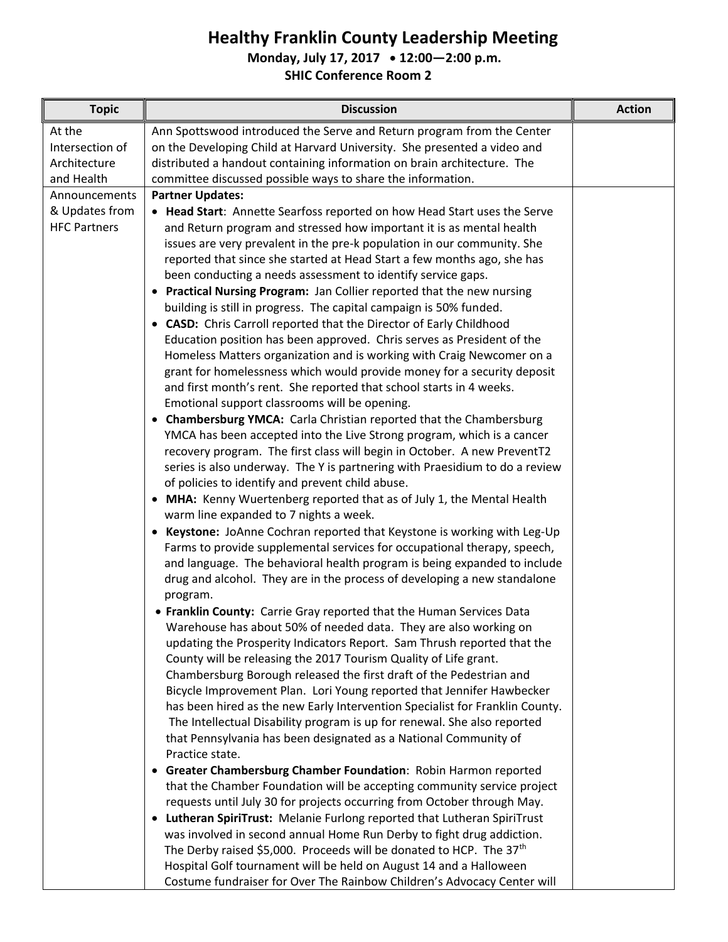## **Healthy Franklin County Leadership Meeting**

**Monday, July 17, 2017 12:00—2:00 p.m.**

**SHIC Conference Room 2**

| <b>Topic</b>        | <b>Discussion</b>                                                                                                                                       | <b>Action</b> |
|---------------------|---------------------------------------------------------------------------------------------------------------------------------------------------------|---------------|
| At the              | Ann Spottswood introduced the Serve and Return program from the Center                                                                                  |               |
| Intersection of     | on the Developing Child at Harvard University. She presented a video and                                                                                |               |
| Architecture        | distributed a handout containing information on brain architecture. The                                                                                 |               |
| and Health          | committee discussed possible ways to share the information.                                                                                             |               |
| Announcements       | <b>Partner Updates:</b>                                                                                                                                 |               |
| & Updates from      | • Head Start: Annette Searfoss reported on how Head Start uses the Serve                                                                                |               |
| <b>HFC Partners</b> | and Return program and stressed how important it is as mental health                                                                                    |               |
|                     | issues are very prevalent in the pre-k population in our community. She                                                                                 |               |
|                     | reported that since she started at Head Start a few months ago, she has                                                                                 |               |
|                     | been conducting a needs assessment to identify service gaps.                                                                                            |               |
|                     | • Practical Nursing Program: Jan Collier reported that the new nursing                                                                                  |               |
|                     | building is still in progress. The capital campaign is 50% funded.                                                                                      |               |
|                     | • CASD: Chris Carroll reported that the Director of Early Childhood                                                                                     |               |
|                     | Education position has been approved. Chris serves as President of the                                                                                  |               |
|                     | Homeless Matters organization and is working with Craig Newcomer on a                                                                                   |               |
|                     | grant for homelessness which would provide money for a security deposit                                                                                 |               |
|                     | and first month's rent. She reported that school starts in 4 weeks.                                                                                     |               |
|                     | Emotional support classrooms will be opening.                                                                                                           |               |
|                     | • Chambersburg YMCA: Carla Christian reported that the Chambersburg                                                                                     |               |
|                     | YMCA has been accepted into the Live Strong program, which is a cancer                                                                                  |               |
|                     | recovery program. The first class will begin in October. A new PreventT2<br>series is also underway. The Y is partnering with Praesidium to do a review |               |
|                     | of policies to identify and prevent child abuse.                                                                                                        |               |
|                     | • MHA: Kenny Wuertenberg reported that as of July 1, the Mental Health                                                                                  |               |
|                     | warm line expanded to 7 nights a week.                                                                                                                  |               |
|                     | • Keystone: JoAnne Cochran reported that Keystone is working with Leg-Up                                                                                |               |
|                     | Farms to provide supplemental services for occupational therapy, speech,                                                                                |               |
|                     | and language. The behavioral health program is being expanded to include                                                                                |               |
|                     | drug and alcohol. They are in the process of developing a new standalone                                                                                |               |
|                     | program.                                                                                                                                                |               |
|                     | • Franklin County: Carrie Gray reported that the Human Services Data                                                                                    |               |
|                     | Warehouse has about 50% of needed data. They are also working on                                                                                        |               |
|                     | updating the Prosperity Indicators Report. Sam Thrush reported that the                                                                                 |               |
|                     | County will be releasing the 2017 Tourism Quality of Life grant.                                                                                        |               |
|                     | Chambersburg Borough released the first draft of the Pedestrian and                                                                                     |               |
|                     | Bicycle Improvement Plan. Lori Young reported that Jennifer Hawbecker                                                                                   |               |
|                     | has been hired as the new Early Intervention Specialist for Franklin County.                                                                            |               |
|                     | The Intellectual Disability program is up for renewal. She also reported                                                                                |               |
|                     | that Pennsylvania has been designated as a National Community of<br>Practice state.                                                                     |               |
|                     | Greater Chambersburg Chamber Foundation: Robin Harmon reported<br>٠                                                                                     |               |
|                     | that the Chamber Foundation will be accepting community service project                                                                                 |               |
|                     | requests until July 30 for projects occurring from October through May.                                                                                 |               |
|                     | • Lutheran SpiriTrust: Melanie Furlong reported that Lutheran SpiriTrust                                                                                |               |
|                     | was involved in second annual Home Run Derby to fight drug addiction.                                                                                   |               |
|                     | The Derby raised \$5,000. Proceeds will be donated to HCP. The 37 <sup>th</sup>                                                                         |               |
|                     | Hospital Golf tournament will be held on August 14 and a Halloween                                                                                      |               |
|                     | Costume fundraiser for Over The Rainbow Children's Advocacy Center will                                                                                 |               |